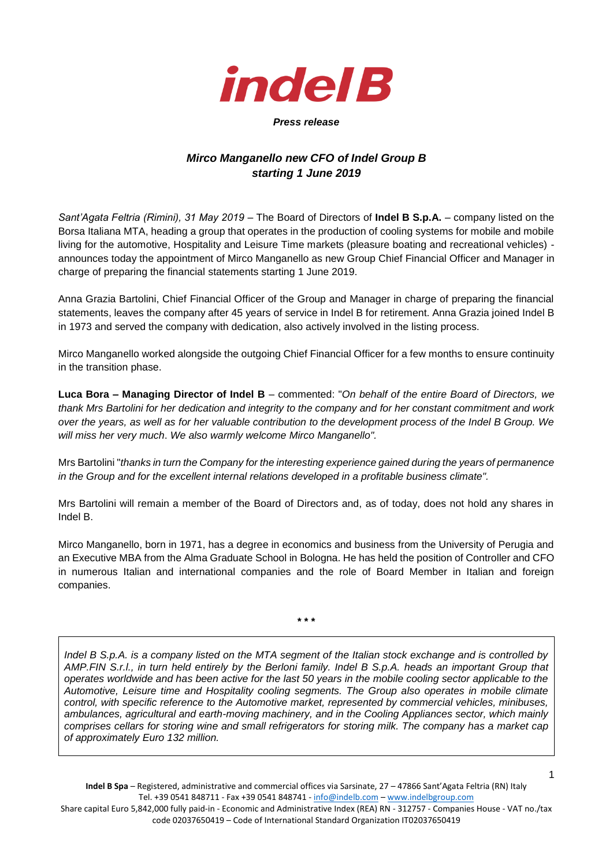

## *Press release*

## *Mirco Manganello new CFO of Indel Group B starting 1 June 2019*

*Sant'Agata Feltria (Rimini), 31 May 2019* – The Board of Directors of **Indel B S.p.A.** – company listed on the Borsa Italiana MTA, heading a group that operates in the production of cooling systems for mobile and mobile living for the automotive, Hospitality and Leisure Time markets (pleasure boating and recreational vehicles) announces today the appointment of Mirco Manganello as new Group Chief Financial Officer and Manager in charge of preparing the financial statements starting 1 June 2019.

Anna Grazia Bartolini, Chief Financial Officer of the Group and Manager in charge of preparing the financial statements, leaves the company after 45 years of service in Indel B for retirement. Anna Grazia joined Indel B in 1973 and served the company with dedication, also actively involved in the listing process.

Mirco Manganello worked alongside the outgoing Chief Financial Officer for a few months to ensure continuity in the transition phase.

**Luca Bora – Managing Director of Indel B** – commented: "*On behalf of the entire Board of Directors, we thank Mrs Bartolini for her dedication and integrity to the company and for her constant commitment and work over the years, as well as for her valuable contribution to the development process of the Indel B Group. We will miss her very much*. *We also warmly welcome Mirco Manganello".*

Mrs Bartolini "*thanks in turn the Company for the interesting experience gained during the years of permanence in the Group and for the excellent internal relations developed in a profitable business climate".*

Mrs Bartolini will remain a member of the Board of Directors and, as of today, does not hold any shares in Indel B.

Mirco Manganello, born in 1971, has a degree in economics and business from the University of Perugia and an Executive MBA from the Alma Graduate School in Bologna. He has held the position of Controller and CFO in numerous Italian and international companies and the role of Board Member in Italian and foreign companies.

**\* \* \***

*Indel B S.p.A. is a company listed on the MTA segment of the Italian stock exchange and is controlled by AMP.FIN S.r.l., in turn held entirely by the Berloni family. Indel B S.p.A. heads an important Group that operates worldwide and has been active for the last 50 years in the mobile cooling sector applicable to the Automotive, Leisure time and Hospitality cooling segments. The Group also operates in mobile climate control, with specific reference to the Automotive market, represented by commercial vehicles, minibuses, ambulances, agricultural and earth-moving machinery, and in the Cooling Appliances sector, which mainly comprises cellars for storing wine and small refrigerators for storing milk. The company has a market cap of approximately Euro 132 million.*

Share capital Euro 5,842,000 fully paid-in - Economic and Administrative Index (REA) RN - 312757 - Companies House - VAT no./tax code 02037650419 – Code of International Standard Organization IT02037650419

1